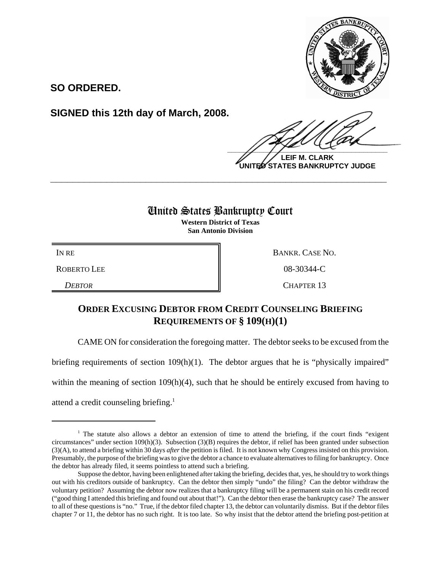

**SO ORDERED.**

**SIGNED this 12th day of March, 2008.**

 $\frac{1}{2}$ 

**LEIF M. CLARK UNITED STATES BANKRUPTCY JUDGE**

## United States Bankruptcy Court

**\_\_\_\_\_\_\_\_\_\_\_\_\_\_\_\_\_\_\_\_\_\_\_\_\_\_\_\_\_\_\_\_\_\_\_\_\_\_\_\_\_\_\_\_\_\_\_\_\_\_\_\_\_\_\_\_\_\_\_\_**

**Western District of Texas San Antonio Division**

ROBERTO LEE 88 and 108-30344-C

IN RE BANKR. CASE NO.

*DEBTOR* CHAPTER 13

## **ORDER EXCUSING DEBTOR FROM CREDIT COUNSELING BRIEFING REQUIREMENTS OF § 109(H)(1)**

CAME ON for consideration the foregoing matter. The debtor seeks to be excused from the

briefing requirements of section 109(h)(1). The debtor argues that he is "physically impaired"

within the meaning of section  $109(h)(4)$ , such that he should be entirely excused from having to

attend a credit counseling briefing.<sup>1</sup>

<sup>&</sup>lt;sup>1</sup> The statute also allows a debtor an extension of time to attend the briefing, if the court finds "exigent circumstances" under section  $109(h)(3)$ . Subsection  $(3)(B)$  requires the debtor, if relief has been granted under subsection (3)(A), to attend a briefing within 30 days *after* the petition is filed. It is not known why Congress insisted on this provision. Presumably, the purpose of the briefing was to give the debtor a chance to evaluate alternatives to filing for bankruptcy. Once the debtor has already filed, it seems pointless to attend such a briefing.

Suppose the debtor, having been enlightened after taking the briefing, decides that, yes, he should try to work things out with his creditors outside of bankruptcy. Can the debtor then simply "undo" the filing? Can the debtor withdraw the voluntary petition? Assuming the debtor now realizes that a bankruptcy filing will be a permanent stain on his credit record ("good thing I attended this briefing and found out about that!"). Can the debtor then erase the bankruptcy case? The answer to all of these questions is "no." True, if the debtor filed chapter 13, the debtor can voluntarily dismiss. But if the debtor files chapter 7 or 11, the debtor has no such right. It is too late. So why insist that the debtor attend the briefing post-petition at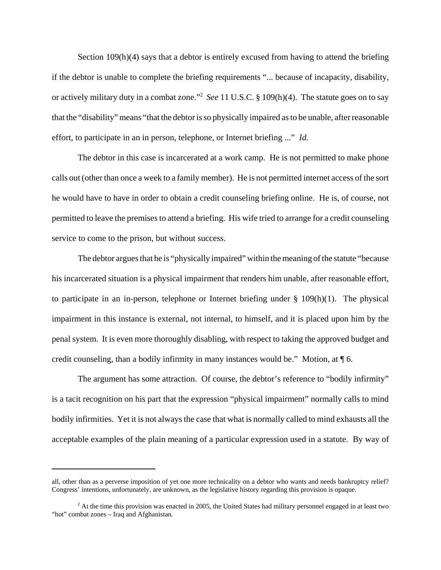Section 109(h)(4) says that a debtor is entirely excused from having to attend the briefing if the debtor is unable to complete the briefing requirements "... because of incapacity, disability, or actively military duty in a combat zone."2 *See* 11 U.S.C. § 109(h)(4). The statute goes on to say that the "disability" means "that the debtor is so physically impaired as to be unable, after reasonable effort, to participate in an in person, telephone, or Internet briefing ..." *Id.*

The debtor in this case is incarcerated at a work camp. He is not permitted to make phone calls out (other than once a week to a family member). He is not permitted internet access of the sort he would have to have in order to obtain a credit counseling briefing online. He is, of course, not permitted to leave the premises to attend a briefing. His wife tried to arrange for a credit counseling service to come to the prison, but without success.

The debtor argues that he is "physically impaired" within the meaning of the statute "because his incarcerated situation is a physical impairment that renders him unable, after reasonable effort, to participate in an in-person, telephone or Internet briefing under § 109(h)(1). The physical impairment in this instance is external, not internal, to himself, and it is placed upon him by the penal system. It is even more thoroughly disabling, with respect to taking the approved budget and credit counseling, than a bodily infirmity in many instances would be." Motion, at  $\P$  6.

The argument has some attraction. Of course, the debtor's reference to "bodily infirmity" is a tacit recognition on his part that the expression "physical impairment" normally calls to mind bodily infirmities. Yet it is not always the case that what is normally called to mind exhausts all the acceptable examples of the plain meaning of a particular expression used in a statute. By way of

all, other than as a perverse imposition of yet one more technicality on a debtor who wants and needs bankruptcy relief? Congress' intentions, unfortunately, are unknown, as the legislative history regarding this provision is opaque.

<sup>&</sup>lt;sup>2</sup> At the time this provision was enacted in 2005, the United States had military personnel engaged in at least two "hot" combat zones – Iraq and Afghanistan.